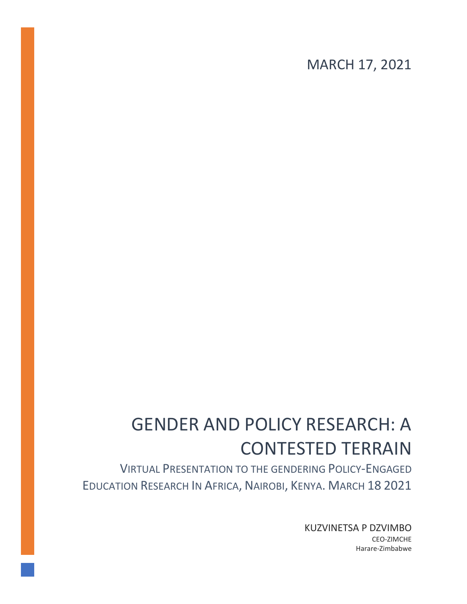MARCH 17, 2021

# GENDER AND POLICY RESEARCH: A CONTESTED TERRAIN

VIRTUAL PRESENTATION TO THE GENDERING POLICY-ENGAGED EDUCATION RESEARCH IN AFRICA, NAIROBI, KENYA. MARCH 18 2021

> KUZVINETSA P DZVIMBO CEO-ZIMCHE Harare-Zimbabwe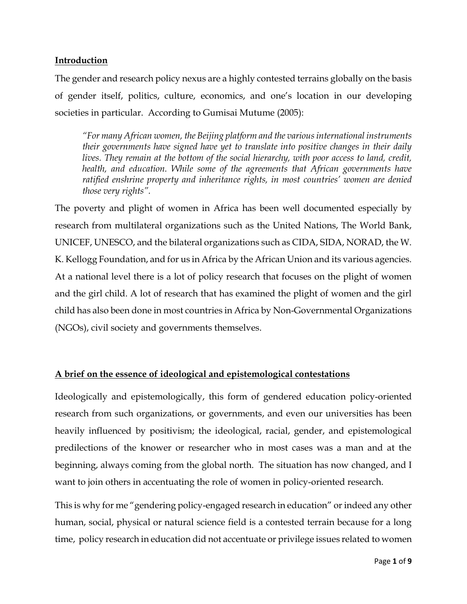## **Introduction**

The gender and research policy nexus are a highly contested terrains globally on the basis of gender itself, politics, culture, economics, and one's location in our developing societies in particular. According to Gumisai Mutume (2005):

*"For many African women, the Beijing platform and the various international instruments their governments have signed have yet to translate into positive changes in their daily lives. They remain at the bottom of the social hierarchy, with poor access to land, credit, health, and education. While some of the agreements that African governments have ratified enshrine property and inheritance rights, in most countries' women are denied those very rights".*

The poverty and plight of women in Africa has been well documented especially by research from multilateral organizations such as the United Nations, The World Bank, UNICEF, UNESCO, and the bilateral organizations such as CIDA, SIDA, NORAD, the W. K. Kellogg Foundation, and for us in Africa by the African Union and its various agencies. At a national level there is a lot of policy research that focuses on the plight of women and the girl child. A lot of research that has examined the plight of women and the girl child has also been done in most countries in Africa by Non-Governmental Organizations (NGOs), civil society and governments themselves.

## **A brief on the essence of ideological and epistemological contestations**

Ideologically and epistemologically, this form of gendered education policy-oriented research from such organizations, or governments, and even our universities has been heavily influenced by positivism; the ideological, racial, gender, and epistemological predilections of the knower or researcher who in most cases was a man and at the beginning, always coming from the global north. The situation has now changed, and I want to join others in accentuating the role of women in policy-oriented research.

This is why for me "gendering policy-engaged research in education" or indeed any other human, social, physical or natural science field is a contested terrain because for a long time, policy research in education did not accentuate or privilege issues related to women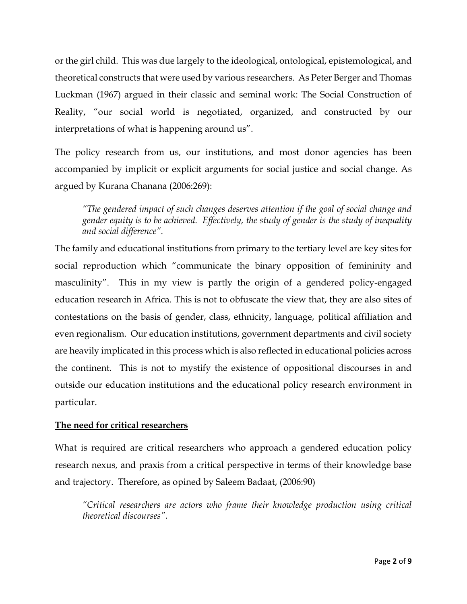or the girl child. This was due largely to the ideological, ontological, epistemological, and theoretical constructs that were used by various researchers. As Peter Berger and Thomas Luckman (1967) argued in their classic and seminal work: The Social Construction of Reality, "our social world is negotiated, organized, and constructed by our interpretations of what is happening around us".

The policy research from us, our institutions, and most donor agencies has been accompanied by implicit or explicit arguments for social justice and social change. As argued by Kurana Chanana (2006:269):

*"The gendered impact of such changes deserves attention if the goal of social change and gender equity is to be achieved. Effectively, the study of gender is the study of inequality and social difference".*

The family and educational institutions from primary to the tertiary level are key sites for social reproduction which "communicate the binary opposition of femininity and masculinity". This in my view is partly the origin of a gendered policy-engaged education research in Africa. This is not to obfuscate the view that, they are also sites of contestations on the basis of gender, class, ethnicity, language, political affiliation and even regionalism. Our education institutions, government departments and civil society are heavily implicated in this process which is also reflected in educational policies across the continent. This is not to mystify the existence of oppositional discourses in and outside our education institutions and the educational policy research environment in particular.

## **The need for critical researchers**

What is required are critical researchers who approach a gendered education policy research nexus, and praxis from a critical perspective in terms of their knowledge base and trajectory. Therefore, as opined by Saleem Badaat, (2006:90)

*"Critical researchers are actors who frame their knowledge production using critical theoretical discourses".*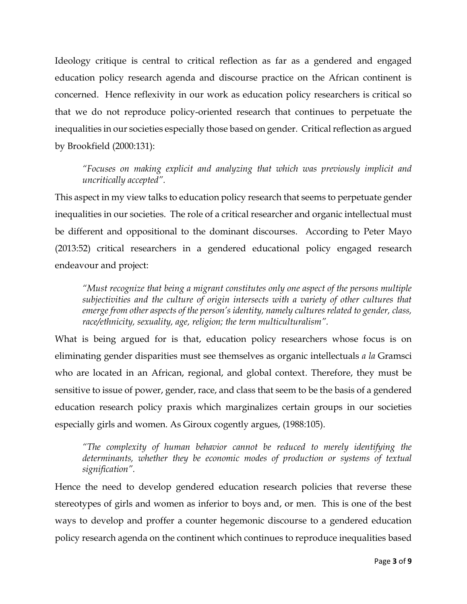Ideology critique is central to critical reflection as far as a gendered and engaged education policy research agenda and discourse practice on the African continent is concerned. Hence reflexivity in our work as education policy researchers is critical so that we do not reproduce policy-oriented research that continues to perpetuate the inequalities in our societies especially those based on gender. Critical reflection as argued by Brookfield (2000:131):

*"Focuses on making explicit and analyzing that which was previously implicit and uncritically accepted".*

This aspect in my view talks to education policy research that seems to perpetuate gender inequalities in our societies. The role of a critical researcher and organic intellectual must be different and oppositional to the dominant discourses. According to Peter Mayo (2013:52) critical researchers in a gendered educational policy engaged research endeavour and project:

*"Must recognize that being a migrant constitutes only one aspect of the persons multiple subjectivities and the culture of origin intersects with a variety of other cultures that emerge from other aspects of the person's identity, namely cultures related to gender, class, race/ethnicity, sexuality, age, religion; the term multiculturalism".*

What is being argued for is that, education policy researchers whose focus is on eliminating gender disparities must see themselves as organic intellectuals *a la* Gramsci who are located in an African, regional, and global context. Therefore, they must be sensitive to issue of power, gender, race, and class that seem to be the basis of a gendered education research policy praxis which marginalizes certain groups in our societies especially girls and women. As Giroux cogently argues, (1988:105).

*"The complexity of human behavior cannot be reduced to merely identifying the*  determinants, whether they be economic modes of production or systems of textual *signification".*

Hence the need to develop gendered education research policies that reverse these stereotypes of girls and women as inferior to boys and, or men. This is one of the best ways to develop and proffer a counter hegemonic discourse to a gendered education policy research agenda on the continent which continues to reproduce inequalities based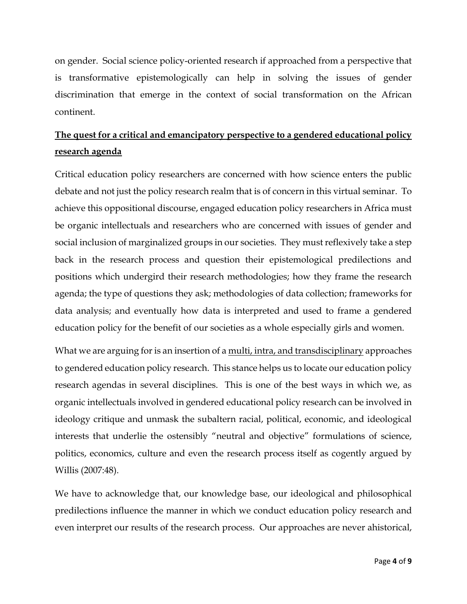on gender. Social science policy-oriented research if approached from a perspective that is transformative epistemologically can help in solving the issues of gender discrimination that emerge in the context of social transformation on the African continent.

# **The quest for a critical and emancipatory perspective to a gendered educational policy research agenda**

Critical education policy researchers are concerned with how science enters the public debate and not just the policy research realm that is of concern in this virtual seminar. To achieve this oppositional discourse, engaged education policy researchers in Africa must be organic intellectuals and researchers who are concerned with issues of gender and social inclusion of marginalized groups in our societies. They must reflexively take a step back in the research process and question their epistemological predilections and positions which undergird their research methodologies; how they frame the research agenda; the type of questions they ask; methodologies of data collection; frameworks for data analysis; and eventually how data is interpreted and used to frame a gendered education policy for the benefit of our societies as a whole especially girls and women.

What we are arguing for is an insertion of a <u>multi, intra, and transdisciplinary</u> approaches to gendered education policy research. This stance helps us to locate our education policy research agendas in several disciplines. This is one of the best ways in which we, as organic intellectuals involved in gendered educational policy research can be involved in ideology critique and unmask the subaltern racial, political, economic, and ideological interests that underlie the ostensibly "neutral and objective" formulations of science, politics, economics, culture and even the research process itself as cogently argued by Willis (2007:48).

We have to acknowledge that, our knowledge base, our ideological and philosophical predilections influence the manner in which we conduct education policy research and even interpret our results of the research process. Our approaches are never ahistorical,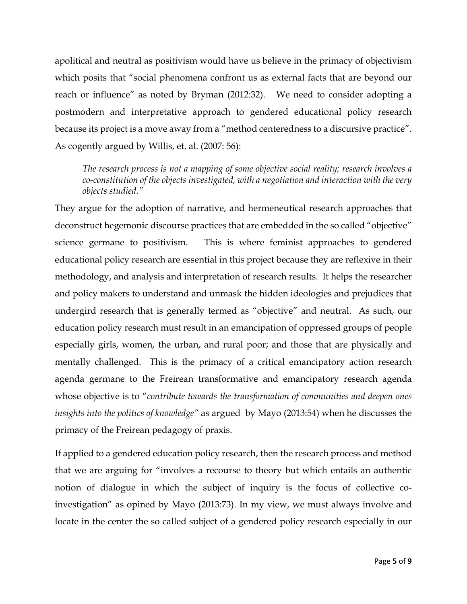apolitical and neutral as positivism would have us believe in the primacy of objectivism which posits that "social phenomena confront us as external facts that are beyond our reach or influence" as noted by Bryman (2012:32). We need to consider adopting a postmodern and interpretative approach to gendered educational policy research because its project is a move away from a "method centeredness to a discursive practice". As cogently argued by Willis, et. al. (2007: 56):

*The research process is not a mapping of some objective social reality; research involves a co-constitution of the objects investigated, with a negotiation and interaction with the very objects studied."*

They argue for the adoption of narrative, and hermeneutical research approaches that deconstruct hegemonic discourse practices that are embedded in the so called "objective" science germane to positivism. This is where feminist approaches to gendered educational policy research are essential in this project because they are reflexive in their methodology, and analysis and interpretation of research results. It helps the researcher and policy makers to understand and unmask the hidden ideologies and prejudices that undergird research that is generally termed as "objective" and neutral. As such, our education policy research must result in an emancipation of oppressed groups of people especially girls, women, the urban, and rural poor; and those that are physically and mentally challenged. This is the primacy of a critical emancipatory action research agenda germane to the Freirean transformative and emancipatory research agenda whose objective is to "*contribute towards the transformation of communities and deepen ones insights into the politics of knowledge"* as argued by Mayo (2013:54) when he discusses the primacy of the Freirean pedagogy of praxis.

If applied to a gendered education policy research, then the research process and method that we are arguing for "involves a recourse to theory but which entails an authentic notion of dialogue in which the subject of inquiry is the focus of collective coinvestigation" as opined by Mayo (2013:73). In my view, we must always involve and locate in the center the so called subject of a gendered policy research especially in our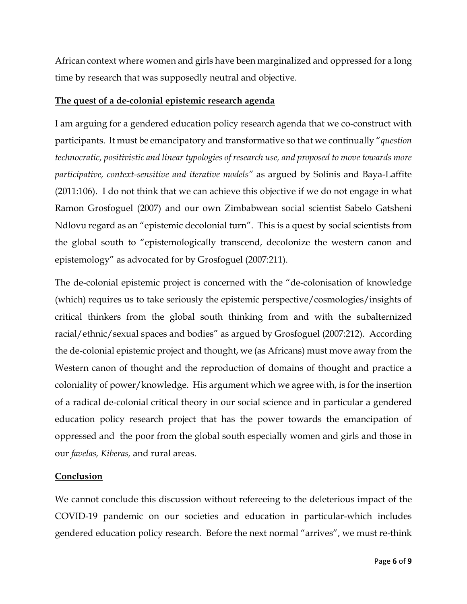African context where women and girls have been marginalized and oppressed for a long time by research that was supposedly neutral and objective.

## **The quest of a de-colonial epistemic research agenda**

I am arguing for a gendered education policy research agenda that we co-construct with participants. It must be emancipatory and transformative so that we continually "*question technocratic, positivistic and linear typologies of research use, and proposed to move towards more participative, context-sensitive and iterative models"* as argued by Solinis and Baya-Laffite (2011:106). I do not think that we can achieve this objective if we do not engage in what Ramon Grosfoguel (2007) and our own Zimbabwean social scientist Sabelo Gatsheni Ndlovu regard as an "epistemic decolonial turn". This is a quest by social scientists from the global south to "epistemologically transcend, decolonize the western canon and epistemology" as advocated for by Grosfoguel (2007:211).

The de-colonial epistemic project is concerned with the "de-colonisation of knowledge (which) requires us to take seriously the epistemic perspective/cosmologies/insights of critical thinkers from the global south thinking from and with the subalternized racial/ethnic/sexual spaces and bodies" as argued by Grosfoguel (2007:212). According the de-colonial epistemic project and thought, we (as Africans) must move away from the Western canon of thought and the reproduction of domains of thought and practice a coloniality of power/knowledge. His argument which we agree with, is for the insertion of a radical de-colonial critical theory in our social science and in particular a gendered education policy research project that has the power towards the emancipation of oppressed and the poor from the global south especially women and girls and those in our *favelas, Kiberas,* and rural areas.

## **Conclusion**

We cannot conclude this discussion without refereeing to the deleterious impact of the COVID-19 pandemic on our societies and education in particular-which includes gendered education policy research. Before the next normal "arrives", we must re-think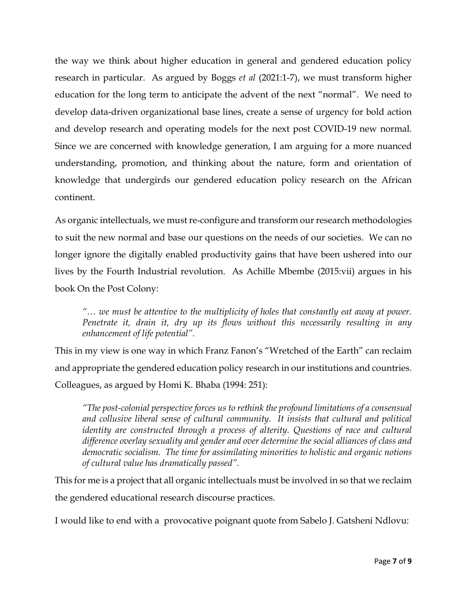the way we think about higher education in general and gendered education policy research in particular. As argued by Boggs *et al* (2021:1-7), we must transform higher education for the long term to anticipate the advent of the next "normal". We need to develop data-driven organizational base lines, create a sense of urgency for bold action and develop research and operating models for the next post COVID-19 new normal. Since we are concerned with knowledge generation, I am arguing for a more nuanced understanding, promotion, and thinking about the nature, form and orientation of knowledge that undergirds our gendered education policy research on the African continent.

As organic intellectuals, we must re-configure and transform our research methodologies to suit the new normal and base our questions on the needs of our societies. We can no longer ignore the digitally enabled productivity gains that have been ushered into our lives by the Fourth Industrial revolution. As Achille Mbembe (2015:vii) argues in his book On the Post Colony:

*"… we must be attentive to the multiplicity of holes that constantly eat away at power. Penetrate it, drain it, dry up its flows without this necessarily resulting in any enhancement of life potential".*

This in my view is one way in which Franz Fanon's "Wretched of the Earth" can reclaim and appropriate the gendered education policy research in our institutions and countries. Colleagues, as argued by Homi K. Bhaba (1994: 251):

*"The post-colonial perspective forces us to rethink the profound limitations of a consensual and collusive liberal sense of cultural community. It insists that cultural and political identity are constructed through a process of alterity. Questions of race and cultural difference overlay sexuality and gender and over determine the social alliances of class and democratic socialism. The time for assimilating minorities to holistic and organic notions of cultural value has dramatically passed".*

This for me is a project that all organic intellectuals must be involved in so that we reclaim the gendered educational research discourse practices.

I would like to end with a provocative poignant quote from Sabelo J. Gatsheni Ndlovu: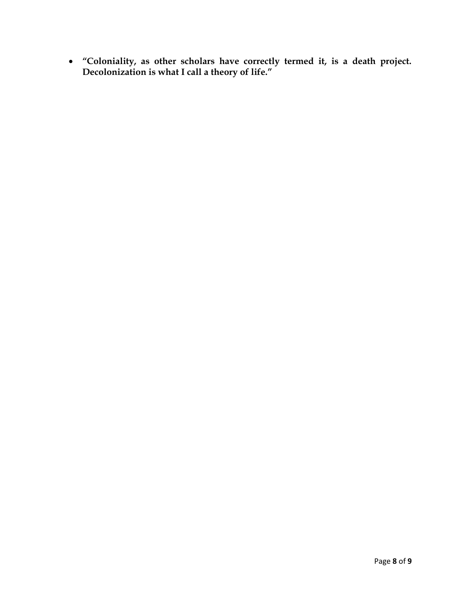• **"Coloniality, as other scholars have correctly termed it, is a death project. Decolonization is what I call a theory of life."**